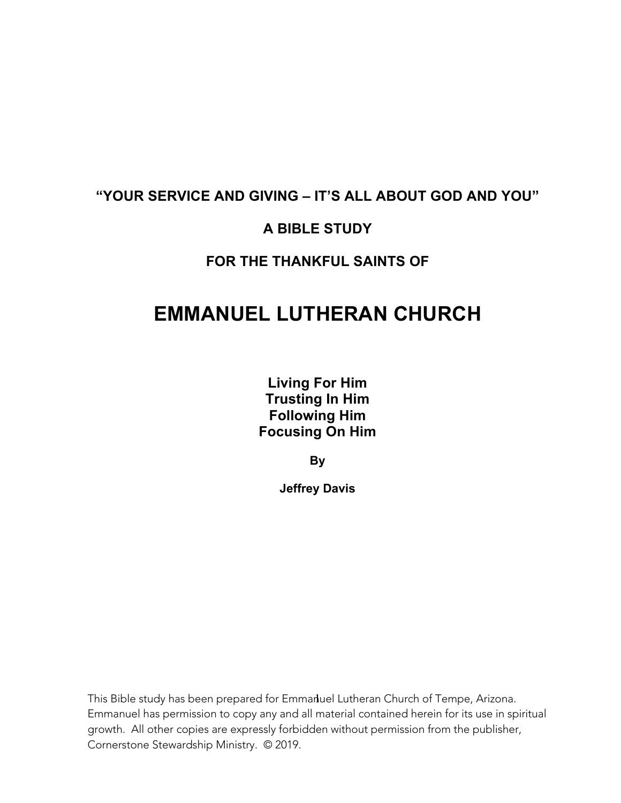# **"YOUR SERVICE AND GIVING – IT'S ALL ABOUT GOD AND YOU"**

### **A BIBLE STUDY**

### **FOR THE THANKFUL SAINTS OF**

# **EMMANUEL LUTHERAN CHURCH**

**Living For Him Trusting In Him Following Him Focusing On Him**

**By**

**Jeffrey Davis**

This Bible study has been prepared for Emmanluel Lutheran Church of Tempe, Arizona. Emmanuel has permission to copy any and all material contained herein for its use in spiritual growth. All other copies are expressly forbidden without permission from the publisher, Cornerstone Stewardship Ministry. © 2019.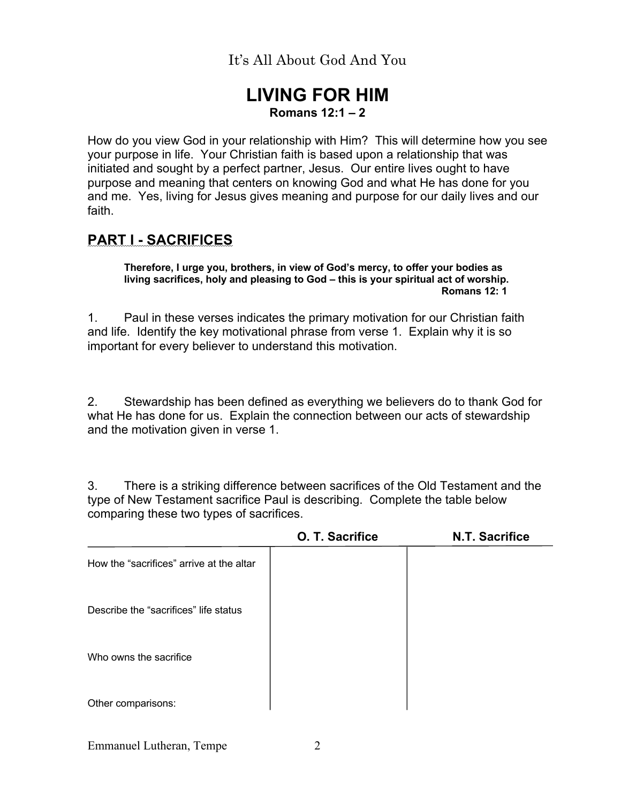### **LIVING FOR HIM Romans 12:1 – 2**

How do you view God in your relationship with Him? This will determine how you see your purpose in life. Your Christian faith is based upon a relationship that was initiated and sought by a perfect partner, Jesus. Our entire lives ought to have purpose and meaning that centers on knowing God and what He has done for you and me. Yes, living for Jesus gives meaning and purpose for our daily lives and our faith.

### **PART I - SACRIFICES**

**Therefore, I urge you, brothers, in view of God's mercy, to offer your bodies as living sacrifices, holy and pleasing to God – this is your spiritual act of worship. Romans 12: 1** 

1. Paul in these verses indicates the primary motivation for our Christian faith and life. Identify the key motivational phrase from verse 1. Explain why it is so important for every believer to understand this motivation.

2. Stewardship has been defined as everything we believers do to thank God for what He has done for us. Explain the connection between our acts of stewardship and the motivation given in verse 1.

3. There is a striking difference between sacrifices of the Old Testament and the type of New Testament sacrifice Paul is describing. Complete the table below comparing these two types of sacrifices.

|                                          | O. T. Sacrifice | <b>N.T. Sacrifice</b> |
|------------------------------------------|-----------------|-----------------------|
| How the "sacrifices" arrive at the altar |                 |                       |
| Describe the "sacrifices" life status    |                 |                       |
| Who owns the sacrifice                   |                 |                       |
| Other comparisons:                       |                 |                       |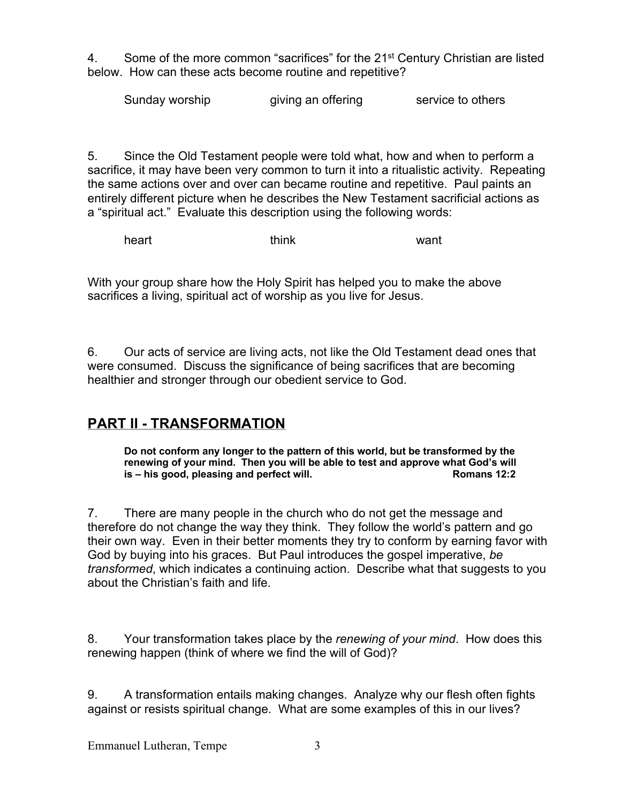4. Some of the more common "sacrifices" for the 21<sup>st</sup> Century Christian are listed below. How can these acts become routine and repetitive?

Sunday worship giving an offering service to others

5. Since the Old Testament people were told what, how and when to perform a sacrifice, it may have been very common to turn it into a ritualistic activity. Repeating the same actions over and over can became routine and repetitive. Paul paints an entirely different picture when he describes the New Testament sacrificial actions as a "spiritual act." Evaluate this description using the following words:

heart think want

With your group share how the Holy Spirit has helped you to make the above sacrifices a living, spiritual act of worship as you live for Jesus.

6. Our acts of service are living acts, not like the Old Testament dead ones that were consumed. Discuss the significance of being sacrifices that are becoming healthier and stronger through our obedient service to God.

### **PART II - TRANSFORMATION**

**Do not conform any longer to the pattern of this world, but be transformed by the renewing of your mind. Then you will be able to test and approve what God's will is – his good, pleasing and perfect will. Romans 12:2 Romans 12:2** 

7. There are many people in the church who do not get the message and therefore do not change the way they think. They follow the world's pattern and go their own way. Even in their better moments they try to conform by earning favor with God by buying into his graces. But Paul introduces the gospel imperative, *be transformed*, which indicates a continuing action. Describe what that suggests to you about the Christian's faith and life.

8. Your transformation takes place by the *renewing of your mind*. How does this renewing happen (think of where we find the will of God)?

9. A transformation entails making changes. Analyze why our flesh often fights against or resists spiritual change. What are some examples of this in our lives?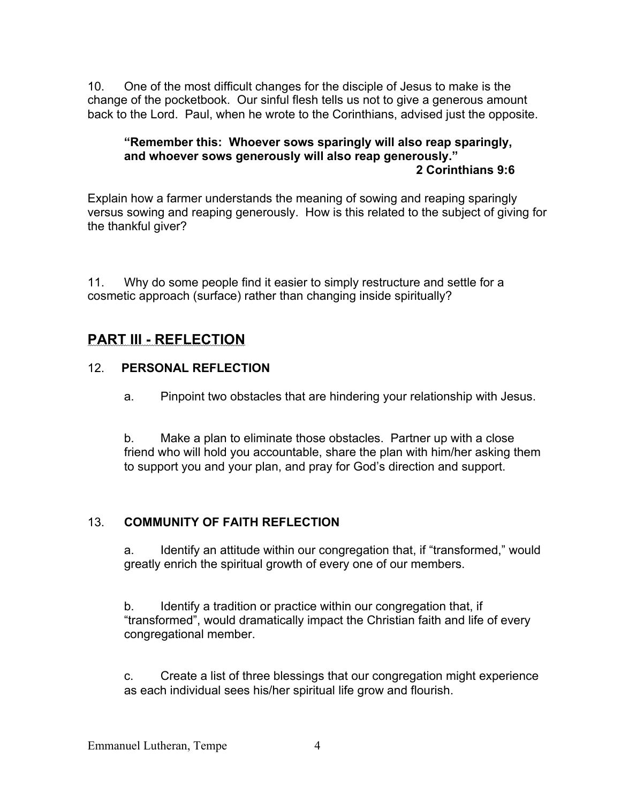10. One of the most difficult changes for the disciple of Jesus to make is the change of the pocketbook. Our sinful flesh tells us not to give a generous amount back to the Lord. Paul, when he wrote to the Corinthians, advised just the opposite.

#### **"Remember this: Whoever sows sparingly will also reap sparingly, and whoever sows generously will also reap generously." 2 Corinthians 9:6**

Explain how a farmer understands the meaning of sowing and reaping sparingly versus sowing and reaping generously. How is this related to the subject of giving for the thankful giver?

11. Why do some people find it easier to simply restructure and settle for a cosmetic approach (surface) rather than changing inside spiritually?

### **PART III - REFLECTION**

#### 12. **PERSONAL REFLECTION**

a. Pinpoint two obstacles that are hindering your relationship with Jesus.

b. Make a plan to eliminate those obstacles. Partner up with a close friend who will hold you accountable, share the plan with him/her asking them to support you and your plan, and pray for God's direction and support.

### 13. **COMMUNITY OF FAITH REFLECTION**

a. Identify an attitude within our congregation that, if "transformed," would greatly enrich the spiritual growth of every one of our members.

b. Identify a tradition or practice within our congregation that, if "transformed", would dramatically impact the Christian faith and life of every congregational member.

c. Create a list of three blessings that our congregation might experience as each individual sees his/her spiritual life grow and flourish.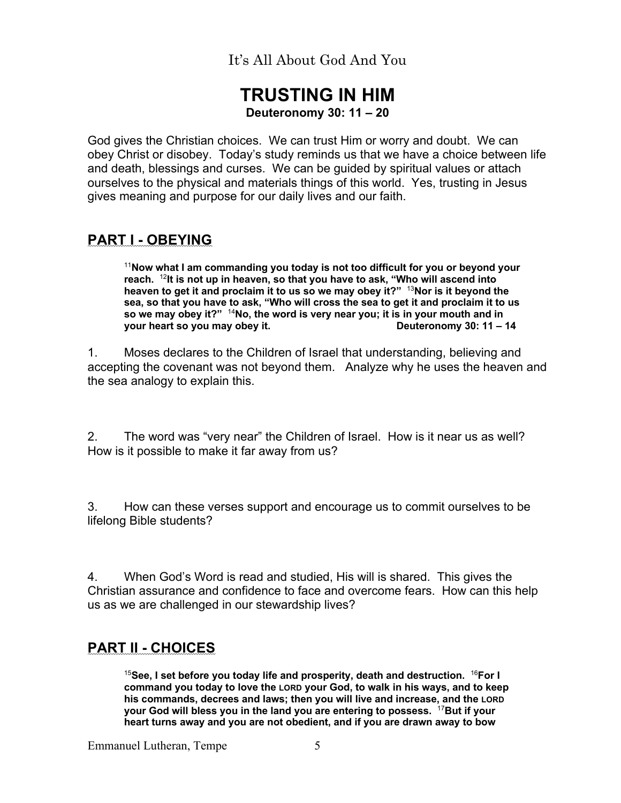### **TRUSTING IN HIM Deuteronomy 30: 11 – 20**

God gives the Christian choices. We can trust Him or worry and doubt. We can obey Christ or disobey. Today's study reminds us that we have a choice between life and death, blessings and curses. We can be guided by spiritual values or attach ourselves to the physical and materials things of this world. Yes, trusting in Jesus gives meaning and purpose for our daily lives and our faith.

### **PART I - OBEYING**

<sup>11</sup>**Now what I am commanding you today is not too difficult for you or beyond your reach.** <sup>12</sup>**It is not up in heaven, so that you have to ask, "Who will ascend into heaven to get it and proclaim it to us so we may obey it?"** <sup>13</sup>**Nor is it beyond the sea, so that you have to ask, "Who will cross the sea to get it and proclaim it to us so we may obey it?"** <sup>14</sup>**No, the word is very near you; it is in your mouth and in your heart so you may obey it. Deuteronomy 30: 11 – 14** 

1. Moses declares to the Children of Israel that understanding, believing and accepting the covenant was not beyond them. Analyze why he uses the heaven and the sea analogy to explain this.

2. The word was "very near" the Children of Israel. How is it near us as well? How is it possible to make it far away from us?

3. How can these verses support and encourage us to commit ourselves to be lifelong Bible students?

4. When God's Word is read and studied, His will is shared. This gives the Christian assurance and confidence to face and overcome fears. How can this help us as we are challenged in our stewardship lives?

### **PART II - CHOICES**

<sup>15</sup>**See, I set before you today life and prosperity, death and destruction.** <sup>16</sup>**For I command you today to love the LORD your God, to walk in his ways, and to keep his commands, decrees and laws; then you will live and increase, and the LORD your God will bless you in the land you are entering to possess.** <sup>17</sup>**But if your heart turns away and you are not obedient, and if you are drawn away to bow**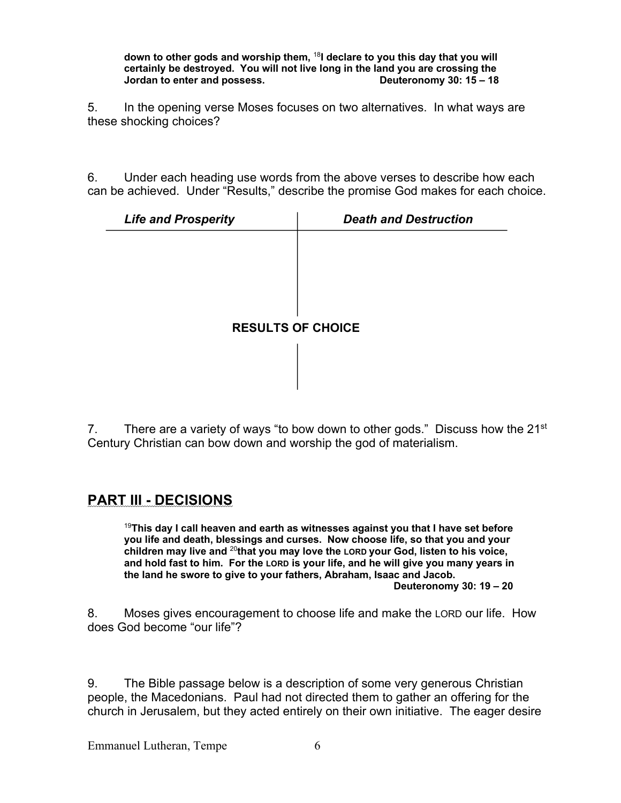**down to other gods and worship them,** <sup>18</sup>**I declare to you this day that you will certainly be destroyed. You will not live long in the land you are crossing the Jordan to enter and possess. Deuteronomy 30: 15 – 18**

5. In the opening verse Moses focuses on two alternatives. In what ways are these shocking choices?

6. Under each heading use words from the above verses to describe how each can be achieved. Under "Results," describe the promise God makes for each choice.

| <b>Life and Prosperity</b> | <b>Death and Destruction</b> |  |
|----------------------------|------------------------------|--|
|                            |                              |  |
|                            |                              |  |
|                            |                              |  |
|                            |                              |  |
| <b>RESULTS OF CHOICE</b>   |                              |  |
|                            |                              |  |
|                            |                              |  |

7. There are a variety of ways "to bow down to other gods." Discuss how the  $21^{st}$ Century Christian can bow down and worship the god of materialism.

### **PART III - DECISIONS**

<sup>19</sup>**This day I call heaven and earth as witnesses against you that I have set before you life and death, blessings and curses. Now choose life, so that you and your children may live and** <sup>20</sup>**that you may love the LORD your God, listen to his voice, and hold fast to him. For the LORD is your life, and he will give you many years in the land he swore to give to your fathers, Abraham, Isaac and Jacob. Deuteronomy 30: 19 – 20** 

8. Moses gives encouragement to choose life and make the LORD our life. How does God become "our life"?

9. The Bible passage below is a description of some very generous Christian people, the Macedonians. Paul had not directed them to gather an offering for the church in Jerusalem, but they acted entirely on their own initiative. The eager desire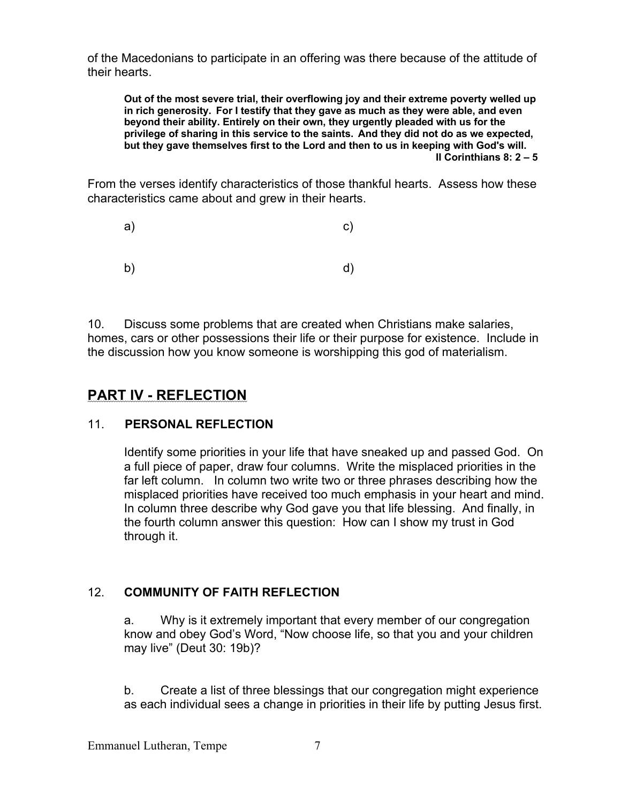of the Macedonians to participate in an offering was there because of the attitude of their hearts.

**Out of the most severe trial, their overflowing joy and their extreme poverty welled up in rich generosity. For I testify that they gave as much as they were able, and even beyond their ability. Entirely on their own, they urgently pleaded with us for the privilege of sharing in this service to the saints. And they did not do as we expected, but they gave themselves first to the Lord and then to us in keeping with God's will. II Corinthians 8: 2 – 5** 

From the verses identify characteristics of those thankful hearts. Assess how these characteristics came about and grew in their hearts.

| a) | $\mathsf{c})$ |
|----|---------------|
| b) | d)            |

10. Discuss some problems that are created when Christians make salaries, homes, cars or other possessions their life or their purpose for existence. Include in the discussion how you know someone is worshipping this god of materialism.

# **PART IV - REFLECTION**

### 11. **PERSONAL REFLECTION**

Identify some priorities in your life that have sneaked up and passed God. On a full piece of paper, draw four columns. Write the misplaced priorities in the far left column. In column two write two or three phrases describing how the misplaced priorities have received too much emphasis in your heart and mind. In column three describe why God gave you that life blessing. And finally, in the fourth column answer this question: How can I show my trust in God through it.

### 12. **COMMUNITY OF FAITH REFLECTION**

a. Why is it extremely important that every member of our congregation know and obey God's Word, "Now choose life, so that you and your children may live" (Deut 30: 19b)?

b. Create a list of three blessings that our congregation might experience as each individual sees a change in priorities in their life by putting Jesus first.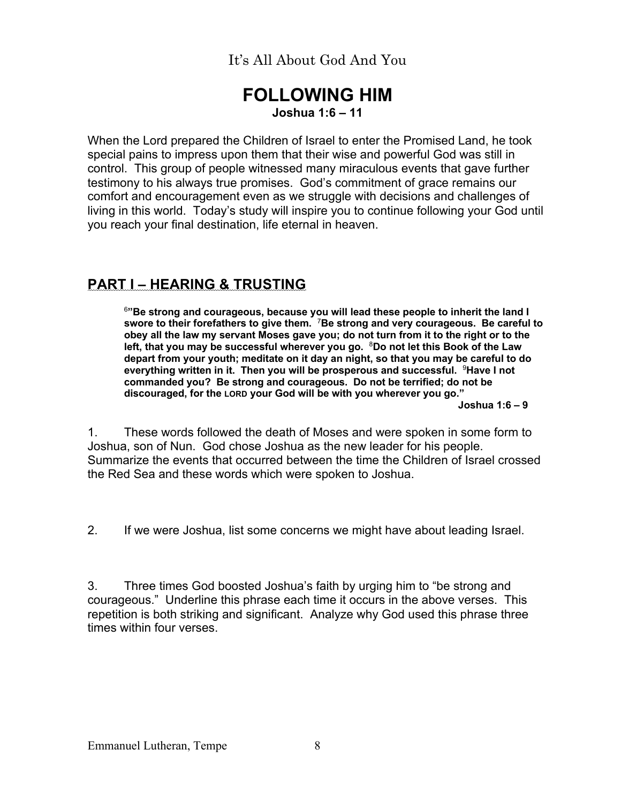### **FOLLOWING HIM Joshua 1:6 – 11**

When the Lord prepared the Children of Israel to enter the Promised Land, he took special pains to impress upon them that their wise and powerful God was still in control. This group of people witnessed many miraculous events that gave further testimony to his always true promises. God's commitment of grace remains our comfort and encouragement even as we struggle with decisions and challenges of living in this world. Today's study will inspire you to continue following your God until you reach your final destination, life eternal in heaven.

# **PART I – HEARING & TRUSTING**

<sup>6</sup>**"Be strong and courageous, because you will lead these people to inherit the land I swore to their forefathers to give them.** <sup>7</sup>**Be strong and very courageous. Be careful to obey all the law my servant Moses gave you; do not turn from it to the right or to the left, that you may be successful wherever you go.** <sup>8</sup>**Do not let this Book of the Law depart from your youth; meditate on it day an night, so that you may be careful to do everything written in it. Then you will be prosperous and successful.** <sup>9</sup>**Have I not commanded you? Be strong and courageous. Do not be terrified; do not be discouraged, for the LORD your God will be with you wherever you go."**

 **Joshua 1:6 – 9** 

1. These words followed the death of Moses and were spoken in some form to Joshua, son of Nun. God chose Joshua as the new leader for his people. Summarize the events that occurred between the time the Children of Israel crossed the Red Sea and these words which were spoken to Joshua.

2. If we were Joshua, list some concerns we might have about leading Israel.

3. Three times God boosted Joshua's faith by urging him to "be strong and courageous." Underline this phrase each time it occurs in the above verses. This repetition is both striking and significant. Analyze why God used this phrase three times within four verses.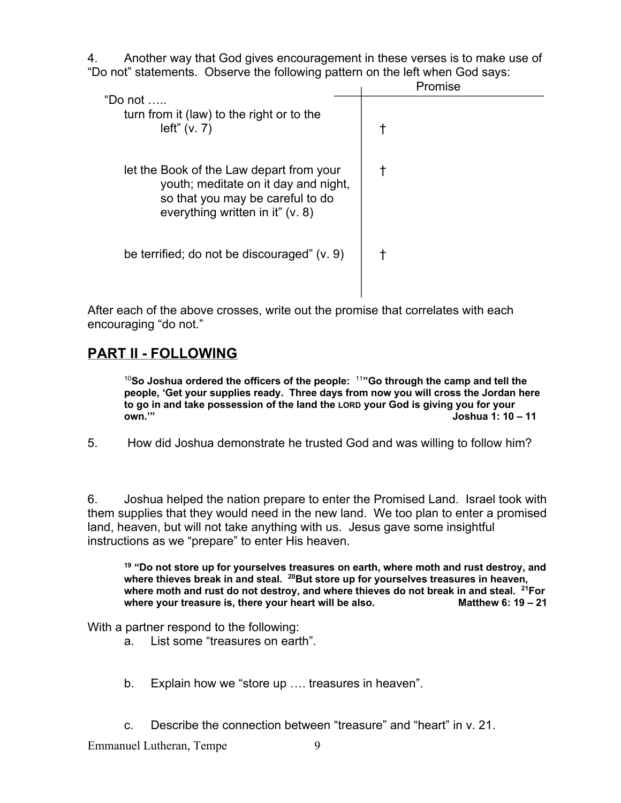4. Another way that God gives encouragement in these verses is to make use of "Do not" statements. Observe the following pattern on the left when God says:

|                                                                                                                                                          | Promise |
|----------------------------------------------------------------------------------------------------------------------------------------------------------|---------|
| "Do not $\dots$<br>turn from it (law) to the right or to the<br>left" (v. 7)                                                                             |         |
| let the Book of the Law depart from your<br>youth; meditate on it day and night,<br>so that you may be careful to do<br>everything written in it" (v. 8) |         |
| be terrified; do not be discouraged" (v. 9)                                                                                                              |         |

After each of the above crosses, write out the promise that correlates with each encouraging "do not."

### **PART II - FOLLOWING**

<sup>10</sup>**So Joshua ordered the officers of the people:** <sup>11</sup>**"Go through the camp and tell the people, 'Get your supplies ready. Three days from now you will cross the Jordan here to go in and take possession of the land the LORD your God is giving you for your own.'" Joshua 1: 10 – 11** 

5. How did Joshua demonstrate he trusted God and was willing to follow him?

6. Joshua helped the nation prepare to enter the Promised Land. Israel took with them supplies that they would need in the new land. We too plan to enter a promised land, heaven, but will not take anything with us. Jesus gave some insightful instructions as we "prepare" to enter His heaven.

**<sup>19</sup> "Do not store up for yourselves treasures on earth, where moth and rust destroy, and**  where thieves break in and steal. <sup>20</sup>But store up for yourselves treasures in heaven, where moth and rust do not destroy, and where thieves do not break in and steal. <sup>21</sup>For where your treasure is, there your heart will be also. Matthew 6: 19 - 21

With a partner respond to the following:

- a. List some "treasures on earth".
- b. Explain how we "store up …. treasures in heaven".
- c. Describe the connection between "treasure" and "heart" in v. 21.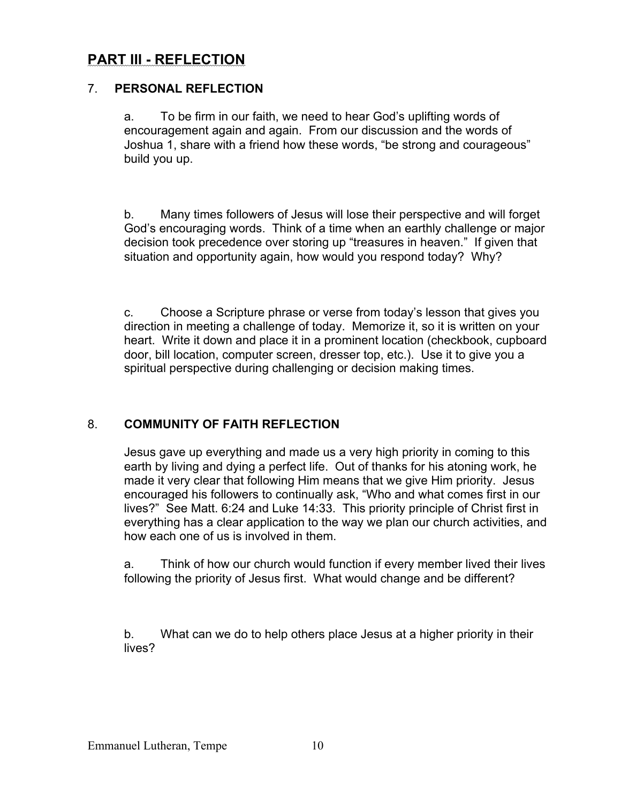# **PART III - REFLECTION**

#### 7. **PERSONAL REFLECTION**

a. To be firm in our faith, we need to hear God's uplifting words of encouragement again and again. From our discussion and the words of Joshua 1, share with a friend how these words, "be strong and courageous" build you up.

b. Many times followers of Jesus will lose their perspective and will forget God's encouraging words. Think of a time when an earthly challenge or major decision took precedence over storing up "treasures in heaven." If given that situation and opportunity again, how would you respond today? Why?

c. Choose a Scripture phrase or verse from today's lesson that gives you direction in meeting a challenge of today. Memorize it, so it is written on your heart. Write it down and place it in a prominent location (checkbook, cupboard door, bill location, computer screen, dresser top, etc.). Use it to give you a spiritual perspective during challenging or decision making times.

### 8. **COMMUNITY OF FAITH REFLECTION**

Jesus gave up everything and made us a very high priority in coming to this earth by living and dying a perfect life. Out of thanks for his atoning work, he made it very clear that following Him means that we give Him priority. Jesus encouraged his followers to continually ask, "Who and what comes first in our lives?" See Matt. 6:24 and Luke 14:33. This priority principle of Christ first in everything has a clear application to the way we plan our church activities, and how each one of us is involved in them.

a. Think of how our church would function if every member lived their lives following the priority of Jesus first. What would change and be different?

b. What can we do to help others place Jesus at a higher priority in their lives?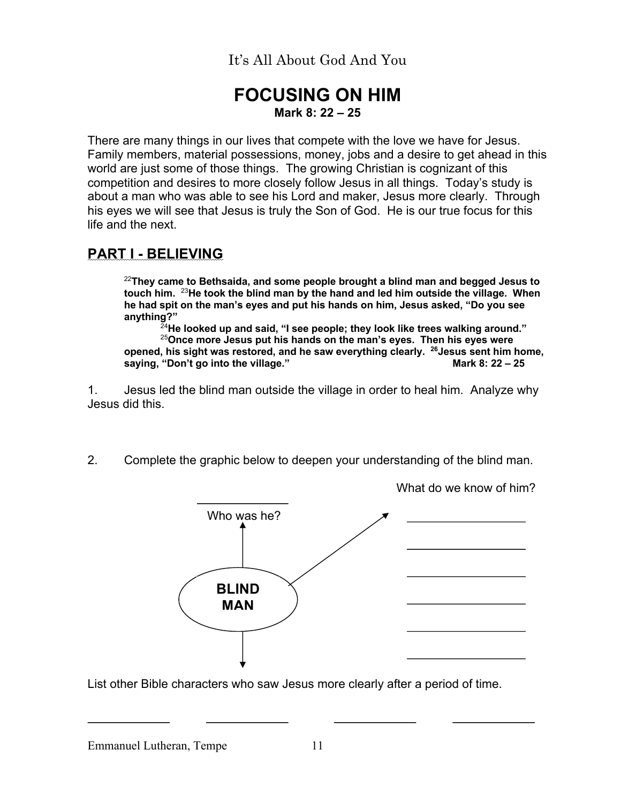# **FOCUSING ON HIM Mark 8: 22 – 25**

There are many things in our lives that compete with the love we have for Jesus. Family members, material possessions, money, jobs and a desire to get ahead in this world are just some of those things. The growing Christian is cognizant of this competition and desires to more closely follow Jesus in all things. Today's study is about a man who was able to see his Lord and maker, Jesus more clearly. Through his eyes we will see that Jesus is truly the Son of God. He is our true focus for this life and the next.

# **PART I - BELIEVING**

<sup>22</sup>**They came to Bethsaida, and some people brought a blind man and begged Jesus to touch him.** <sup>23</sup>**He took the blind man by the hand and led him outside the village. When he had spit on the man's eyes and put his hands on him, Jesus asked, "Do you see anything?"**

<sup>24</sup>**He looked up and said, "I see people; they look like trees walking around."** <sup>25</sup>**Once more Jesus put his hands on the man's eyes. Then his eyes were**  opened, his sight was restored, and he saw everything clearly. <sup>26</sup>Jesus sent him home,<br>saving. "Don't go into the village." saying, "Don't go into the village."

1. Jesus led the blind man outside the village in order to heal him. Analyze why Jesus did this.

2. Complete the graphic below to deepen your understanding of the blind man.



What do we know of him?

List other Bible characters who saw Jesus more clearly after a period of time.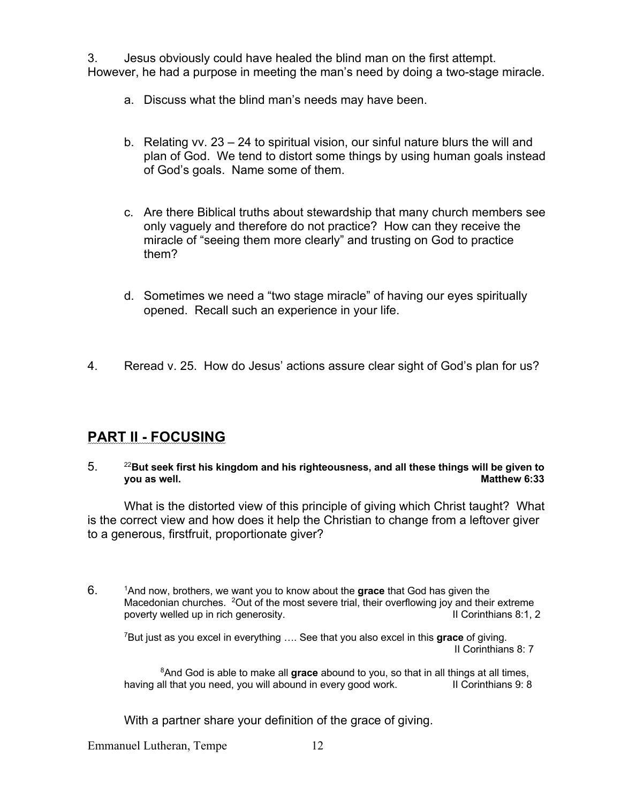3. Jesus obviously could have healed the blind man on the first attempt. However, he had a purpose in meeting the man's need by doing a two-stage miracle.

- a. Discuss what the blind man's needs may have been.
- b. Relating vv. 23 24 to spiritual vision, our sinful nature blurs the will and plan of God. We tend to distort some things by using human goals instead of God's goals. Name some of them.
- c. Are there Biblical truths about stewardship that many church members see only vaguely and therefore do not practice? How can they receive the miracle of "seeing them more clearly" and trusting on God to practice them?
- d. Sometimes we need a "two stage miracle" of having our eyes spiritually opened. Recall such an experience in your life.
- 4. Reread v. 25. How do Jesus' actions assure clear sight of God's plan for us?

### **PART II - FOCUSING**

5. <sup>22</sup>**But seek first his kingdom and his righteousness, and all these things will be given to you as well.** Matthew 6:33

What is the distorted view of this principle of giving which Christ taught? What is the correct view and how does it help the Christian to change from a leftover giver to a generous, firstfruit, proportionate giver?

6. 1And now, brothers, we want you to know about the **grace** that God has given the Macedonian churches. <sup>2</sup>Out of the most severe trial, their overflowing joy and their extreme<br>poverty welled up in rich generosity. poverty welled up in rich generosity.

7But just as you excel in everything …. See that you also excel in this **grace** of giving. II Corinthians 8: 7

8And God is able to make all **grace** abound to you, so that in all things at all times, having all that you need, you will abound in every good work. In Corinthians 9: 8

With a partner share your definition of the grace of giving.